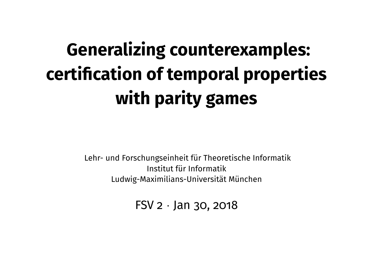# **Generalizing counterexamples: certification of temporal properties with parity games**

Lehr- und Forschungseinheit für Theoretische Informatik Institut für Informatik Ludwig-Maximilians-Universität München

FSV  $2 \cdot$  Jan 30, 2018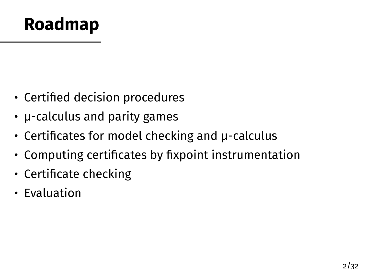#### **Roadmap**

- Certified decision procedures
- µ-calculus and parity games
- Certificates for model checking and µ-calculus
- Computing certificates by fixpoint instrumentation
- Certificate checking
- Evaluation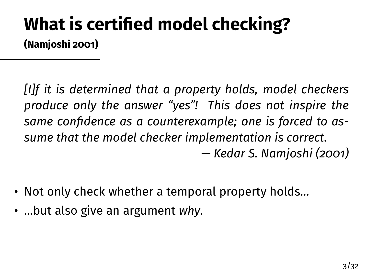#### **What is certified model checking? (Namjoshi [2001\)](#page-33-0)**

*[I]f it is determined that a property holds, model checkers produce only the answer "yes"! This does not inspire the same confidence as a counterexample; one is forced to assume that the model checker implementation is correct. — Kedar S. Namjoshi (2001)*

- Not only check whether a temporal property holds…
- …but also give an argument *why*.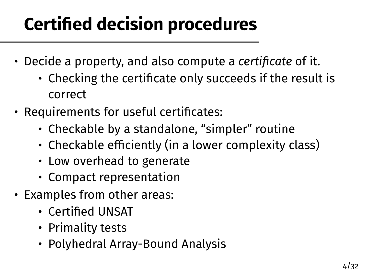# **Certified decision procedures**

- Decide a property, and also compute a *certificate* of it.
	- Checking the certificate only succeeds if the result is correct
- Requirements for useful certificates:
	- Checkable by a standalone, "simpler" routine
	- Checkable efficiently (in a lower complexity class)
	- Low overhead to generate
	- Compact representation
- Examples from other areas:
	- Certified UNSAT
	- Primality tests
	- Polyhedral Array-Bound Analysis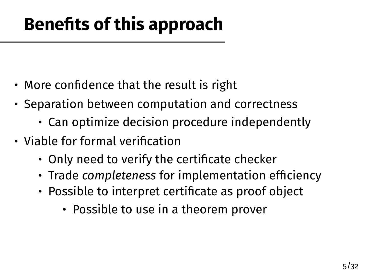# **Benefits of this approach**

- More confidence that the result is right
- Separation between computation and correctness
	- Can optimize decision procedure independently
- Viable for formal verification
	- Only need to verify the certificate checker
	- Trade *completeness* for implementation efficiency
	- Possible to interpret certificate as proof object
		- Possible to use in a theorem prover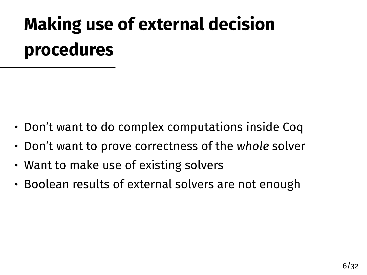# **Making use of external decision procedures**

- Don't want to do complex computations inside Coq
- Don't want to prove correctness of the *whole* solver
- Want to make use of existing solvers
- Boolean results of external solvers are not enough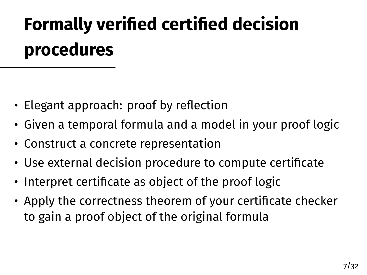# **Formally verified certified decision procedures**

- Elegant approach: proof by reflection
- Given a temporal formula and a model in your proof logic
- Construct a concrete representation
- Use external decision procedure to compute certificate
- Interpret certificate as object of the proof logic
- Apply the correctness theorem of your certificate checker to gain a proof object of the original formula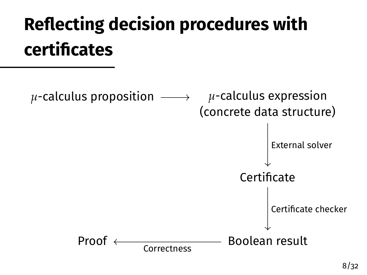# **Reflecting decision procedures with certificates**

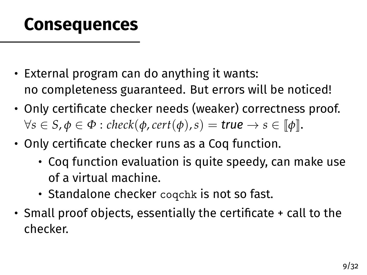#### **Consequences**

- External program can do anything it wants: no completeness guaranteed. But errors will be noticed!
- Only certificate checker needs (weaker) correctness proof.  $\forall s \in S, \phi \in \Phi : \text{check}(\phi, \text{cert}(\phi), s) = \text{true} \rightarrow s \in [\![\phi]\!].$
- Only certificate checker runs as a Coq function.
	- Coq function evaluation is quite speedy, can make use of a virtual machine.
	- Standalone checker coqchk is not so fast.
- Small proof objects, essentially the certificate + call to the checker.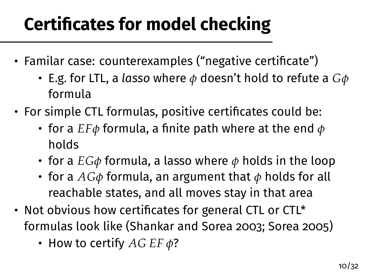# **Certificates for model checking**

- Familar case: counterexamples ("negative certificate")
	- E.g. for LTL, a *lasso* where *φ* doesn't hold to refute a *Gφ* formula
- For simple CTL formulas, positive certificates could be:
	- for a *EFφ* formula, a finite path where at the end *φ* holds
	- for a *EGφ* formula, a lasso where *φ* holds in the loop
	- for a *AGφ* formula, an argument that *φ* holds for all reachable states, and all moves stay in that area
- Not obvious how certificates for general CTL or CTL\* formulas look like (Shankar and Sorea [2003;](#page-33-1) Sorea [2005\)](#page-34-0)
	- How to certify *AG EF φ*?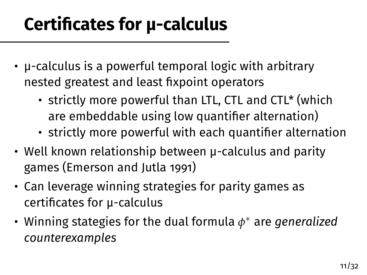## **Certificates for µ-calculus**

- µ-calculus is a powerful temporal logic with arbitrary nested greatest and least fixpoint operators
	- strictly more powerful than LTL, CTL and CTL\* (which are embeddable using low quantifier alternation)
	- strictly more powerful with each quantifier alternation
- Well known relationship between µ-calculus and parity games (Emerson and Jutla [1991\)](#page-33-2)
- Can leverage winning strategies for parity games as certificates for µ-calculus
- Winning stategies for the dual formula *φ* <sup>∗</sup> are *generalized counterexamples*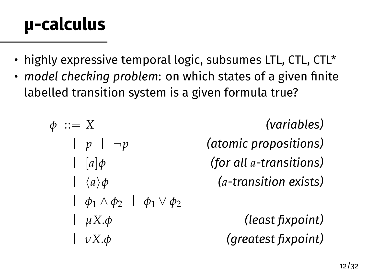### **µ-calculus**

- highly expressive temporal logic, subsumes LTL, CTL, CTL\*
- *model checking problem*: on which states of a given finite labelled transition system is a given formula true?

$$
\begin{array}{ll}\n\phi ::= X & \text{(variables)}\\
\downarrow p \mid \neg p & \text{(atomic propositions)}\\
\downarrow [a]\phi & \text{(for all } a\text{-transitions)}\\
\downarrow \langle a \rangle \phi & \text{(a-transition exists)}\\
\downarrow \phi_1 \land \phi_2 \mid \phi_1 \lor \phi_2 & \text{(least fixpoint)}\\
\downarrow \nu X.\phi & \text{(greatest fixpoint)}\n\end{array}
$$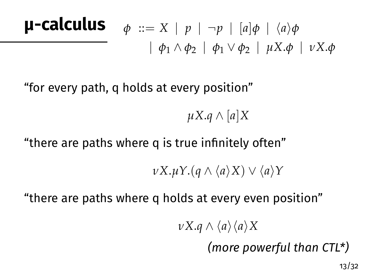| <b>µ-calculus</b>                                                            | $\phi$ ::= X   p   ¬p   [a] $\phi$   $\langle a \rangle \phi$ |
|------------------------------------------------------------------------------|---------------------------------------------------------------|
| $ \phi_1 \wedge \phi_2 $   $\phi_1 \vee \phi_2 $ $\mu X.\phi$   $\nu X.\phi$ |                                                               |

"for every path, q holds at every position"

*µX*.*q* ∧ [*a*]*X*

#### "there are paths where q is true infinitely often"

*νX*.*uY*.(*q* ∧ *\a\X*) ∨ *\a\Y* 

"there are paths where q holds at every even position"

*νX*.*q*  $\wedge$   $\langle$ *a* $\rangle$  $\langle$ *a* $\rangle$ *X* 

*(more powerful than CTL\*)*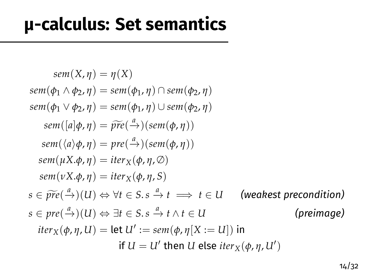#### **µ-calculus: Set semantics**

$$
sem(X, \eta) = \eta(X)
$$
  
\n
$$
sem(\phi_1 \land \phi_2, \eta) = sem(\phi_1, \eta) \cap sem(\phi_2, \eta)
$$
  
\n
$$
sem(\phi_1 \lor \phi_2, \eta) = sem(\phi_1, \eta) \cup sem(\phi_2, \eta)
$$
  
\n
$$
sem([a]\phi, \eta) = \widetilde{pre}(\xrightarrow{a}) (sem(\phi, \eta))
$$
  
\n
$$
sem(\langle a \rangle \phi, \eta) = pre(\xrightarrow{a}) (sem(\phi, \eta))
$$
  
\n
$$
sem(\mu X.\phi, \eta) = iter_X(\phi, \eta, \emptyset)
$$
  
\n
$$
sem(\nu X.\phi, \eta) = iter_X(\phi, \eta, \emptyset)
$$
  
\n
$$
s \in \widetilde{pre}(\xrightarrow{a}) (U) \Leftrightarrow \forall t \in S. s \xrightarrow{a} t \implies t \in U \qquad \text{(weakest precondition)}
$$
  
\n
$$
s \in pre(\xrightarrow{a}) (U) \Leftrightarrow \exists t \in S. s \xrightarrow{a} t \land t \in U \qquad \text{(preimage)}
$$
  
\n
$$
iter_X(\phi, \eta, U) = let U' := sem(\phi, \eta[X := U]) in
$$
  
\nif U = U' then U else iter\_X(\phi, \eta, U')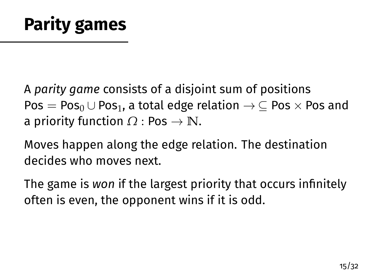A *parity game* consists of a disjoint sum of positions  $Pos = Pos_0 \cup Pos_1$ , a total edge relation  $\rightarrow \subseteq Pos \times Pos$  and a priority function *Ω* : Pos → **N**.

Moves happen along the edge relation. The destination decides who moves next.

The game is *won* if the largest priority that occurs infinitely often is even, the opponent wins if it is odd.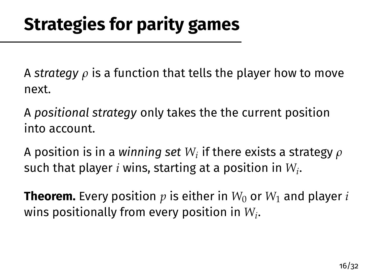A *strategy ρ* is a function that tells the player how to move next.

A *positional strategy* only takes the the current position into account.

A position is in a winning set  $W_i$  if there exists a strategy  $\rho$ such that player *i* wins, starting at a position in *W<sup>i</sup>* .

**Theorem.** Every position  $p$  is either in  $W_0$  or  $W_1$  and player *i* wins positionally from every position in *W<sup>i</sup>* .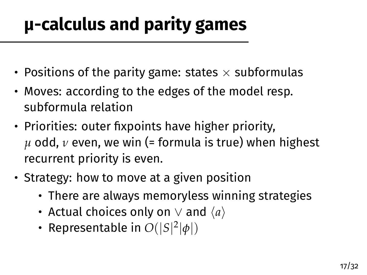# **µ-calculus and parity games**

- Positions of the parity game: states  $\times$  subformulas
- Moves: according to the edges of the model resp. subformula relation
- Priorities: outer fixpoints have higher priority, *µ* odd, *ν* even, we win (= formula is true) when highest recurrent priority is even.
- Strategy: how to move at a given position
	- There are always memoryless winning strategies
	- Actual choices only on  $\vee$  and  $\langle a \rangle$
	- Representable in  $O(|S|^2|\phi|)$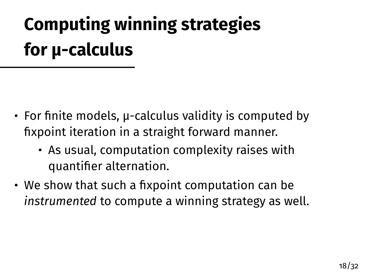# **Computing winning strategies for µ-calculus**

- For finite models, µ-calculus validity is computed by fixpoint iteration in a straight forward manner.
	- As usual, computation complexity raises with quantifier alternation.
- We show that such a fixpoint computation can be *instrumented* to compute a winning strategy as well.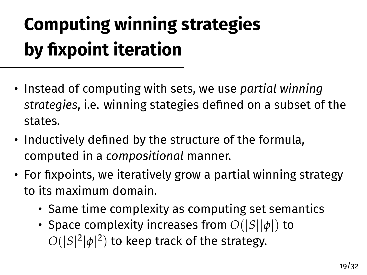# **Computing winning strategies by fixpoint iteration**

- Instead of computing with sets, we use *partial winning strategies*, i.e. winning stategies defined on a subset of the states.
- Inductively defined by the structure of the formula, computed in a *compositional* manner.
- For fixpoints, we iteratively grow a partial winning strategy to its maximum domain.
	- Same time complexity as computing set semantics
	- Space complexity increases from *O*(|*S*||*φ*|) to  $O(|S|^2|\phi|^2)$  to keep track of the strategy.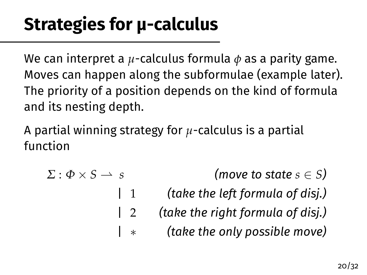We can interpret a *µ*-calculus formula *φ* as a parity game. Moves can happen along the subformulae (example later). The priority of a position depends on the kind of formula and its nesting depth.

A partial winning strategy for *µ*-calculus is a partial function

 $\Sigma: \Phi \times S \longrightarrow s$  *(move to state*  $s \in S$ *)* | 1 *(take the left formula of disj.)* | 2 *(take the right formula of disj.)* | ∗ *(take the only possible move)*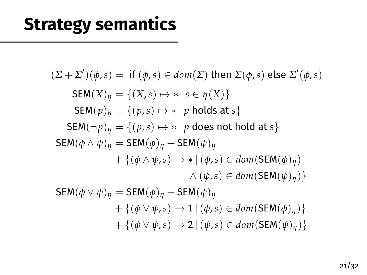### **Strategy semantics**

$$
(\Sigma + \Sigma')(\phi, s) = \text{ if } (\phi, s) \in dom(\Sigma) \text{ then } \Sigma(\phi, s) \text{ else } \Sigma'(\phi, s)
$$
  
\n
$$
\text{SEM}(X)_{\eta} = \{ (X, s) \mapsto * | s \in \eta(X) \}
$$
  
\n
$$
\text{SEM}(p)_{\eta} = \{ (p, s) \mapsto * | p \text{ holds at } s \}
$$
  
\n
$$
\text{SEM}(\neg p)_{\eta} = \{ (p, s) \mapsto * | p \text{ does not hold at } s \}
$$
  
\n
$$
\text{SEM}(\phi \wedge \psi)_{\eta} = \text{SEM}(\phi)_{\eta} + \text{SEM}(\psi)_{\eta}
$$
  
\n
$$
+ \{ (\phi \wedge \psi, s) \mapsto * | (\phi, s) \in dom(\text{SEM}(\phi)_{\eta}) \}
$$
  
\n
$$
\wedge (\psi, s) \in dom(\text{SEM}(\psi)_{\eta}) \}
$$
  
\n
$$
\text{SEM}(\phi \vee \psi)_{\eta} = \text{SEM}(\phi)_{\eta} + \text{SEM}(\psi)_{\eta}
$$
  
\n
$$
+ \{ (\phi \vee \psi, s) \mapsto 1 | (\phi, s) \in dom(\text{SEM}(\phi)_{\eta}) \}
$$
  
\n
$$
+ \{ (\phi \vee \psi, s) \mapsto 2 | (\psi, s) \in dom(\text{SEM}(\psi)_{\eta}) \}
$$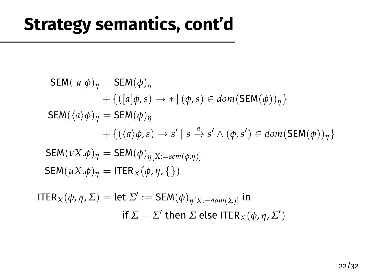#### **Strategy semantics, cont'd**

$$
SEM([a]\phi)_{\eta} = SEM(\phi)_{\eta}
$$
  
+ {([a]\phi,s) \mapsto \* | (\phi,s) \in dom(SEM(\phi))\_{\eta}}  
SEM( $\langle a \rangle \phi$ )\_{\eta} = SEM(\phi)\_{\eta}  
+ {( $\langle a \rangle \phi, s$ ) \mapsto s' | s \xrightarrow{a} s' \land (\phi, s') \in dom(SEM(\phi))\_{\eta}}}  
SEM( $\nu X.\phi$ )\_{\eta} = SEM(\phi)\_{\eta[X:=sem(\phi,\eta)]}  
SEM( $\mu X.\phi$ )\_{\eta} = ITER\_{X}(\phi, \eta, \{\})  
TER<sub>Y</sub>( $\phi, n, \Sigma$ ) = let  $\Sigma'$  := SEM( $\phi$ ) (x = 1, (x) in

$$
\begin{aligned} \mathsf{ITER}_X(\phi,\eta,\Sigma) &= \mathsf{let}\ \Sigma' := \mathsf{SEM}(\phi)_{\eta[X:=\mathit{dom}(\Sigma)]} \ \mathsf{in} \\ \quad \mathsf{if}\ \Sigma &= \Sigma' \ \mathsf{then}\ \Sigma \ \mathsf{else}\ \mathsf{ITER}_X(\phi,\eta,\Sigma') \end{aligned}
$$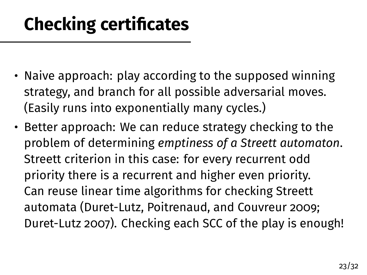## **Checking certificates**

- Naive approach: play according to the supposed winning strategy, and branch for all possible adversarial moves. (Easily runs into exponentially many cycles.)
- Better approach: We can reduce strategy checking to the problem of determining *emptiness of a Streett automaton*. Streett criterion in this case: for every recurrent odd priority there is a recurrent and higher even priority. Can reuse linear time algorithms for checking Streett automata (Duret-Lutz, Poitrenaud, and Couvreur [2009;](#page-33-3) Duret-Lutz [2007\)](#page-32-0). Checking each SCC of the play is enough!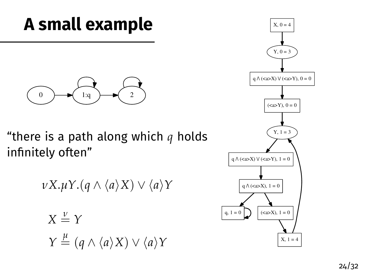#### **A small example**



"there is a path along which *q* holds infinitely often"

$$
\nu X.\mu Y.(q \wedge \langle a \rangle X) \vee \langle a \rangle Y
$$
  

$$
X \stackrel{\nu}{=} Y
$$
  

$$
Y \stackrel{\mu}{=} (q \wedge \langle a \rangle X) \vee \langle a \rangle Y
$$

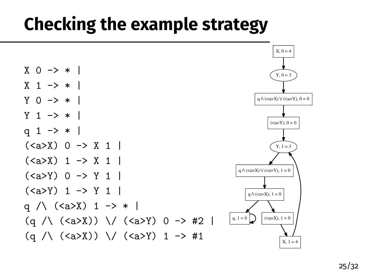#### **Checking the example strategy**

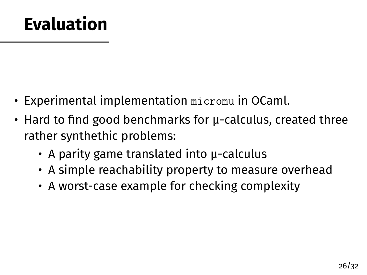#### **Evaluation**

- Experimental implementation micromu in OCaml.
- Hard to find good benchmarks for µ-calculus, created three rather synthethic problems:
	- A parity game translated into µ-calculus
	- A simple reachability property to measure overhead
	- A worst-case example for checking complexity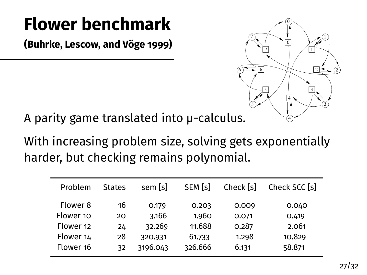## **Flower benchmark**

**(Buhrke, Lescow, and Vöge [1999\)](#page-32-1)**

ł.



A parity game translated into µ-calculus.

With increasing problem size, solving gets exponentially harder, but checking remains polynomial.

| Problem   | <b>States</b> | sem [s]  | SEM [s] | Check [s] | Check SCC [s] |
|-----------|---------------|----------|---------|-----------|---------------|
| Flower 8  | 16            | 0.179    | 0.203   | 0.009     | 0.040         |
| Flower 10 | 20            | 3.166    | 1.960   | 0.071     | 0.419         |
| Flower 12 | 24            | 32.269   | 11.688  | 0.287     | 2.061         |
| Flower 14 | 28            | 320.931  | 61.733  | 1.298     | 10.829        |
| Flower 16 | 32            | 3196.043 | 326.666 | 6.131     | 58.871        |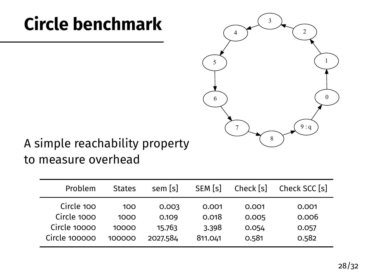### **Circle benchmark**



#### A simple reachability property to measure overhead

| Problem       | <b>States</b> | sem [s]  | SEM [s] | Check [s] | Check SCC [s] |
|---------------|---------------|----------|---------|-----------|---------------|
| Circle 100    | 100           | 0.003    | 0.001   | 0.001     | 0.001         |
| Circle 1000   | 1000          | 0.109    | 0.018   | 0.005     | 0.006         |
| Circle 10000  | 10000         | 15.763   | 3.398   | 0.054     | 0.057         |
| Circle 100000 | 100000        | 2027.584 | 811.041 | 0.581     | 0.582         |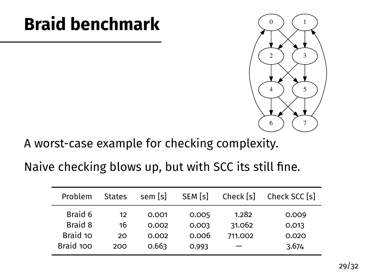#### **Braid benchmark**



A worst-case example for checking complexity.

#### Naive checking blows up, but with SCC its still fine.

| Problem        | <b>States</b> | sem [s] | SEM [s] | Check [s] | Check SCC [s] |
|----------------|---------------|---------|---------|-----------|---------------|
| Braid 6        | 12            | 0.001   | 0.005   | 1.282     | 0.009         |
| <b>Braid 8</b> | 16            | 0.002   | 0.003   | 31.062    | 0.013         |
| Braid 10       | 20            | 0.002   | 0.006   | 711.002   | 0.020         |
| Braid 100      | 200           | 0.663   | 0.993   |           | 3.674         |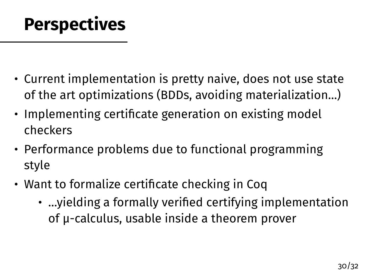#### **Perspectives**

- Current implementation is pretty naive, does not use state of the art optimizations (BDDs, avoiding materialization…)
- Implementing certificate generation on existing model checkers
- Performance problems due to functional programming style
- Want to formalize certificate checking in Coq
	- …yielding a formally verified certifying implementation of µ-calculus, usable inside a theorem prover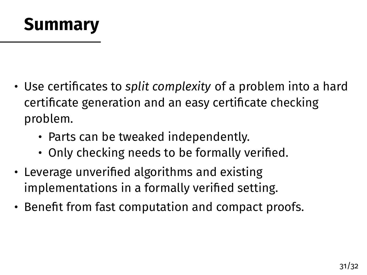#### **Summary**

- Use certificates to *split complexity* of a problem into a hard certificate generation and an easy certificate checking problem.
	- Parts can be tweaked independently.
	- Only checking needs to be formally verified.
- Leverage unverified algorithms and existing implementations in a formally verified setting.
- Benefit from fast computation and compact proofs.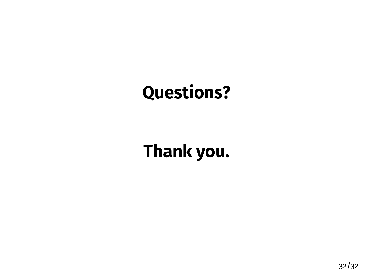### **Questions?**

## **Thank you.**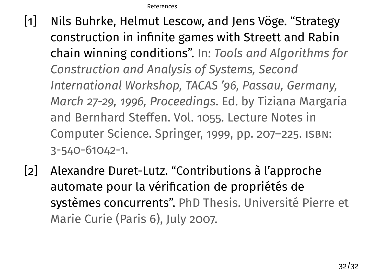[References](#page-32-2)

- <span id="page-32-2"></span><span id="page-32-1"></span>[1] Nils Buhrke, Helmut Lescow, and Jens Vöge. "Strategy construction in infinite games with Streett and Rabin chain winning conditions". In: *Tools and Algorithms for Construction and Analysis of Systems, Second International Workshop, TACAS '96, Passau, Germany, March 27-29, 1996, Proceedings*. Ed. by Tiziana Margaria and Bernhard Steffen. Vol. 1055. Lecture Notes in Computer Science. Springer, 1999, pp. 207–225. isbn: 3-540-61042-1.
- <span id="page-32-0"></span>[2] Alexandre Duret-Lutz. "Contributions à l'approche automate pour la vérification de propriétés de systèmes concurrents". PhD Thesis. Université Pierre et Marie Curie (Paris 6), July 2007.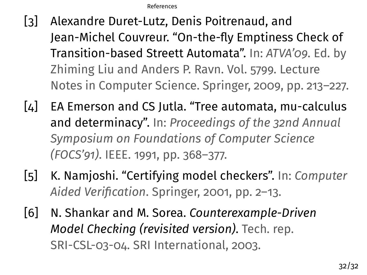[References](#page-32-2)

- <span id="page-33-3"></span>[3] Alexandre Duret-Lutz, Denis Poitrenaud, and Jean-Michel Couvreur. "On-the-fly Emptiness Check of Transition-based Streett Automata". In: *ATVA'09*. Ed. by Zhiming Liu and Anders P. Ravn. Vol. 5799. Lecture Notes in Computer Science. Springer, 2009, pp. 213–227.
- <span id="page-33-2"></span>[4] EA Emerson and CS Jutla. "Tree automata, mu-calculus and determinacy". In: *Proceedings of the 32nd Annual Symposium on Foundations of Computer Science (FOCS'91)*. IEEE. 1991, pp. 368–377.
- <span id="page-33-0"></span>[5] K. Namjoshi. "Certifying model checkers". In: *Computer Aided Verification*. Springer, 2001, pp. 2–13.
- <span id="page-33-1"></span>[6] N. Shankar and M. Sorea. *Counterexample-Driven Model Checking (revisited version)*. Tech. rep. SRI-CSL-03-04. SRI International, 2003.